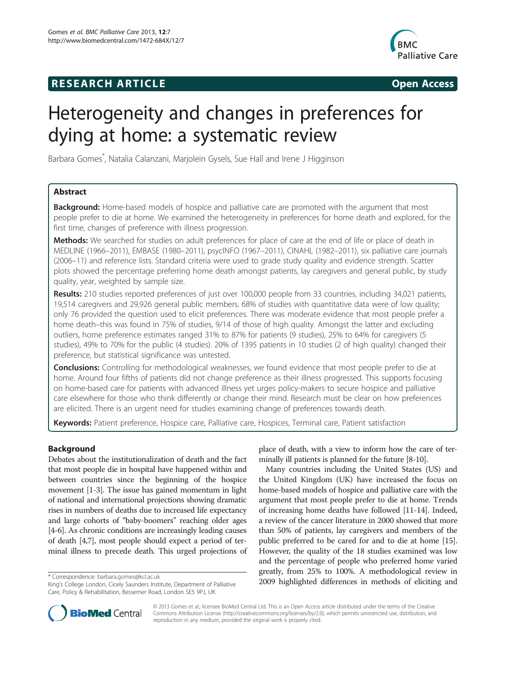# **RESEARCH ARTICLE Example 2014 CONSIDERING CONSIDERING CONSIDERING CONSIDERING CONSIDERING CONSIDERING CONSIDERING CONSIDERING CONSIDERING CONSIDERING CONSIDERING CONSIDERING CONSIDERING CONSIDERING CONSIDERING CONSIDE**



# Heterogeneity and changes in preferences for dying at home: a systematic review

Barbara Gomes\* , Natalia Calanzani, Marjolein Gysels, Sue Hall and Irene J Higginson

# Abstract

**Background:** Home-based models of hospice and palliative care are promoted with the argument that most people prefer to die at home. We examined the heterogeneity in preferences for home death and explored, for the first time, changes of preference with illness progression.

Methods: We searched for studies on adult preferences for place of care at the end of life or place of death in MEDLINE (1966–2011), EMBASE (1980–2011), psycINFO (1967–2011), CINAHL (1982–2011), six palliative care journals (2006–11) and reference lists. Standard criteria were used to grade study quality and evidence strength. Scatter plots showed the percentage preferring home death amongst patients, lay caregivers and general public, by study quality, year, weighted by sample size.

Results: 210 studies reported preferences of just over 100,000 people from 33 countries, including 34,021 patients, 19,514 caregivers and 29,926 general public members. 68% of studies with quantitative data were of low quality; only 76 provided the question used to elicit preferences. There was moderate evidence that most people prefer a home death–this was found in 75% of studies, 9/14 of those of high quality. Amongst the latter and excluding outliers, home preference estimates ranged 31% to 87% for patients (9 studies), 25% to 64% for caregivers (5 studies), 49% to 70% for the public (4 studies). 20% of 1395 patients in 10 studies (2 of high quality) changed their preference, but statistical significance was untested.

**Conclusions:** Controlling for methodological weaknesses, we found evidence that most people prefer to die at home. Around four fifths of patients did not change preference as their illness progressed. This supports focusing on home-based care for patients with advanced illness yet urges policy-makers to secure hospice and palliative care elsewhere for those who think differently or change their mind. Research must be clear on how preferences are elicited. There is an urgent need for studies examining change of preferences towards death.

Keywords: Patient preference, Hospice care, Palliative care, Hospices, Terminal care, Patient satisfaction

# Background

Debates about the institutionalization of death and the fact that most people die in hospital have happened within and between countries since the beginning of the hospice movement [\[1-3\]](#page-11-0). The issue has gained momentum in light of national and international projections showing dramatic rises in numbers of deaths due to increased life expectancy and large cohorts of "baby-boomers" reaching older ages [[4-6\]](#page-11-0). As chronic conditions are increasingly leading causes of death [\[4,7\]](#page-11-0), most people should expect a period of terminal illness to precede death. This urged projections of

place of death, with a view to inform how the care of terminally ill patients is planned for the future [\[8-10\]](#page-11-0).

Many countries including the United States (US) and the United Kingdom (UK) have increased the focus on home-based models of hospice and palliative care with the argument that most people prefer to die at home. Trends of increasing home deaths have followed [[11](#page-11-0)-[14](#page-11-0)]. Indeed, a review of the cancer literature in 2000 showed that more than 50% of patients, lay caregivers and members of the public preferred to be cared for and to die at home [[15](#page-11-0)]. However, the quality of the 18 studies examined was low and the percentage of people who preferred home varied greatly, from 25% to 100%. A methodological review in 2009 highlighted differences in methods of eliciting and \* Correspondence: [barbara.gomes@kcl.ac.uk](mailto:barbara.gomes@kcl.ac.uk)



© 2013 Gomes et al.; licensee BioMed Central Ltd. This is an Open Access article distributed under the terms of the Creative Commons Attribution License [\(http://creativecommons.org/licenses/by/2.0\)](http://creativecommons.org/licenses/by/2.0), which permits unrestricted use, distribution, and reproduction in any medium, provided the original work is properly cited.

King's College London, Cicely Saunders Institute, Department of Palliative Care, Policy & Rehabilitation, Bessemer Road, London SE5 9PJ, UK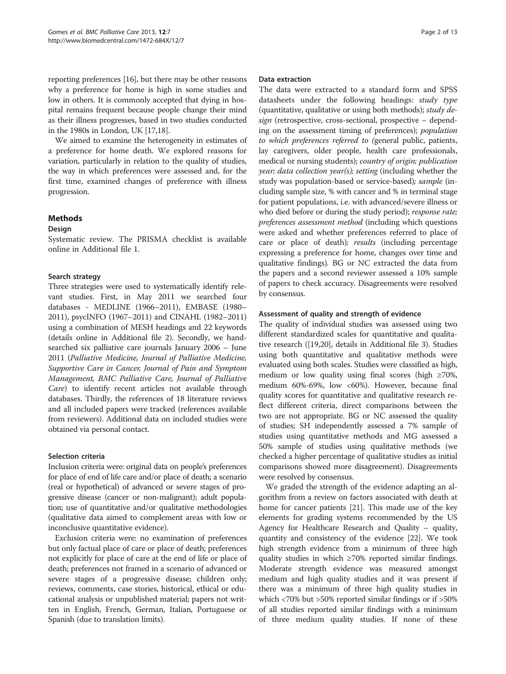reporting preferences [\[16\]](#page-11-0), but there may be other reasons why a preference for home is high in some studies and low in others. It is commonly accepted that dying in hospital remains frequent because people change their mind as their illness progresses, based in two studies conducted in the 1980s in London, UK [[17,18](#page-11-0)].

We aimed to examine the heterogeneity in estimates of a preference for home death. We explored reasons for variation, particularly in relation to the quality of studies, the way in which preferences were assessed and, for the first time, examined changes of preference with illness progression.

# Methods

#### Design

Systematic review. The PRISMA checklist is available online in Additional file [1](#page-11-0).

#### Search strategy

Three strategies were used to systematically identify relevant studies. First, in May 2011 we searched four databases - MEDLINE (1966–2011), EMBASE (1980– 2011), psycINFO (1967–2011) and CINAHL (1982–2011) using a combination of MESH headings and 22 keywords (details online in Additional file [2](#page-11-0)). Secondly, we handsearched six palliative care journals January 2006 – June 2011 (Palliative Medicine, Journal of Palliative Medicine, Supportive Care in Cancer, Journal of Pain and Symptom Management, BMC Palliative Care, Journal of Palliative Care) to identify recent articles not available through databases. Thirdly, the references of 18 literature reviews and all included papers were tracked (references available from reviewers). Additional data on included studies were obtained via personal contact.

#### Selection criteria

Inclusion criteria were: original data on people's preferences for place of end of life care and/or place of death; a scenario (real or hypothetical) of advanced or severe stages of progressive disease (cancer or non-malignant); adult population; use of quantitative and/or qualitative methodologies (qualitative data aimed to complement areas with low or inconclusive quantitative evidence).

Exclusion criteria were: no examination of preferences but only factual place of care or place of death; preferences not explicitly for place of care at the end of life or place of death; preferences not framed in a scenario of advanced or severe stages of a progressive disease; children only; reviews, comments, case stories, historical, ethical or educational analysis or unpublished material; papers not written in English, French, German, Italian, Portuguese or Spanish (due to translation limits).

#### Data extraction

The data were extracted to a standard form and SPSS datasheets under the following headings: study type (quantitative, qualitative or using both methods); study design (retrospective, cross-sectional, prospective – depending on the assessment timing of preferences); population to which preferences referred to (general public, patients, lay caregivers, older people, health care professionals, medical or nursing students); country of origin; publication year; data collection year(s); setting (including whether the study was population-based or service-based); sample (including sample size, % with cancer and % in terminal stage for patient populations, i.e. with advanced/severe illness or who died before or during the study period); response rate; preferences assessment method (including which questions were asked and whether preferences referred to place of care or place of death); results (including percentage expressing a preference for home, changes over time and qualitative findings). BG or NC extracted the data from the papers and a second reviewer assessed a 10% sample of papers to check accuracy. Disagreements were resolved by consensus.

#### Assessment of quality and strength of evidence

The quality of individual studies was assessed using two different standardized scales for quantitative and qualitative research ([\[19,20\]](#page-11-0), details in Additional file [3](#page-11-0)). Studies using both quantitative and qualitative methods were evaluated using both scales. Studies were classified as high, medium or low quality using final scores (high ≥70%, medium 60%-69%, low <60%). However, because final quality scores for quantitative and qualitative research reflect different criteria, direct comparisons between the two are not appropriate. BG or NC assessed the quality of studies; SH independently assessed a 7% sample of studies using quantitative methods and MG assessed a 50% sample of studies using qualitative methods (we checked a higher percentage of qualitative studies as initial comparisons showed more disagreement). Disagreements were resolved by consensus.

We graded the strength of the evidence adapting an algorithm from a review on factors associated with death at home for cancer patients [[21](#page-11-0)]. This made use of the key elements for grading systems recommended by the US Agency for Healthcare Research and Quality – quality, quantity and consistency of the evidence [[22](#page-11-0)]. We took high strength evidence from a minimum of three high quality studies in which ≥70% reported similar findings. Moderate strength evidence was measured amongst medium and high quality studies and it was present if there was a minimum of three high quality studies in which <70% but >50% reported similar findings or if >50% of all studies reported similar findings with a minimum of three medium quality studies. If none of these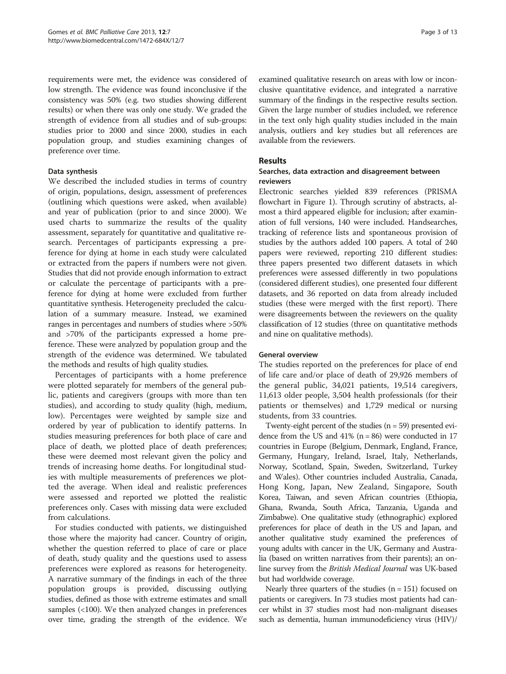requirements were met, the evidence was considered of low strength. The evidence was found inconclusive if the consistency was 50% (e.g. two studies showing different results) or when there was only one study. We graded the strength of evidence from all studies and of sub-groups: studies prior to 2000 and since 2000, studies in each population group, and studies examining changes of preference over time.

#### Data synthesis

We described the included studies in terms of country of origin, populations, design, assessment of preferences (outlining which questions were asked, when available) and year of publication (prior to and since 2000). We used charts to summarize the results of the quality assessment, separately for quantitative and qualitative research. Percentages of participants expressing a preference for dying at home in each study were calculated or extracted from the papers if numbers were not given. Studies that did not provide enough information to extract or calculate the percentage of participants with a preference for dying at home were excluded from further quantitative synthesis. Heterogeneity precluded the calculation of a summary measure. Instead, we examined ranges in percentages and numbers of studies where >50% and >70% of the participants expressed a home preference. These were analyzed by population group and the strength of the evidence was determined. We tabulated the methods and results of high quality studies.

Percentages of participants with a home preference were plotted separately for members of the general public, patients and caregivers (groups with more than ten studies), and according to study quality (high, medium, low). Percentages were weighted by sample size and ordered by year of publication to identify patterns. In studies measuring preferences for both place of care and place of death, we plotted place of death preferences; these were deemed most relevant given the policy and trends of increasing home deaths. For longitudinal studies with multiple measurements of preferences we plotted the average. When ideal and realistic preferences were assessed and reported we plotted the realistic preferences only. Cases with missing data were excluded from calculations.

For studies conducted with patients, we distinguished those where the majority had cancer. Country of origin, whether the question referred to place of care or place of death, study quality and the questions used to assess preferences were explored as reasons for heterogeneity. A narrative summary of the findings in each of the three population groups is provided, discussing outlying studies, defined as those with extreme estimates and small samples (<100). We then analyzed changes in preferences over time, grading the strength of the evidence. We examined qualitative research on areas with low or inconclusive quantitative evidence, and integrated a narrative summary of the findings in the respective results section. Given the large number of studies included, we reference in the text only high quality studies included in the main analysis, outliers and key studies but all references are available from the reviewers.

# Results

# Searches, data extraction and disagreement between reviewers

Electronic searches yielded 839 references (PRISMA flowchart in Figure [1\)](#page-3-0). Through scrutiny of abstracts, almost a third appeared eligible for inclusion; after examination of full versions, 140 were included. Handsearches, tracking of reference lists and spontaneous provision of studies by the authors added 100 papers. A total of 240 papers were reviewed, reporting 210 different studies: three papers presented two different datasets in which preferences were assessed differently in two populations (considered different studies), one presented four different datasets, and 36 reported on data from already included studies (these were merged with the first report). There were disagreements between the reviewers on the quality classification of 12 studies (three on quantitative methods and nine on qualitative methods).

#### General overview

The studies reported on the preferences for place of end of life care and/or place of death of 29,926 members of the general public, 34,021 patients, 19,514 caregivers, 11,613 older people, 3,504 health professionals (for their patients or themselves) and 1,729 medical or nursing students, from 33 countries.

Twenty-eight percent of the studies  $(n = 59)$  presented evidence from the US and  $41\%$  (n = 86) were conducted in 17 countries in Europe (Belgium, Denmark, England, France, Germany, Hungary, Ireland, Israel, Italy, Netherlands, Norway, Scotland, Spain, Sweden, Switzerland, Turkey and Wales). Other countries included Australia, Canada, Hong Kong, Japan, New Zealand, Singapore, South Korea, Taiwan, and seven African countries (Ethiopia, Ghana, Rwanda, South Africa, Tanzania, Uganda and Zimbabwe). One qualitative study (ethnographic) explored preferences for place of death in the US and Japan, and another qualitative study examined the preferences of young adults with cancer in the UK, Germany and Australia (based on written narratives from their parents); an online survey from the British Medical Journal was UK-based but had worldwide coverage.

Nearly three quarters of the studies  $(n = 151)$  focused on patients or caregivers. In 73 studies most patients had cancer whilst in 37 studies most had non-malignant diseases such as dementia, human immunodeficiency virus (HIV)/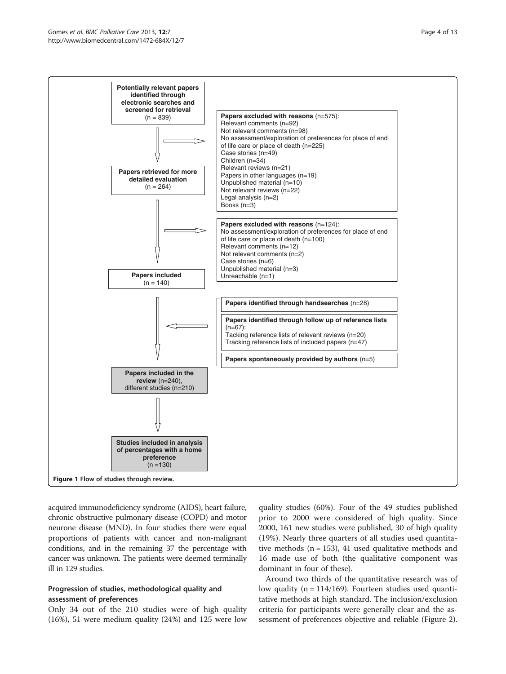<span id="page-3-0"></span>

acquired immunodeficiency syndrome (AIDS), heart failure, chronic obstructive pulmonary disease (COPD) and motor neurone disease (MND). In four studies there were equal proportions of patients with cancer and non-malignant conditions, and in the remaining 37 the percentage with cancer was unknown. The patients were deemed terminally ill in 129 studies.

# Progression of studies, methodological quality and assessment of preferences

Only 34 out of the 210 studies were of high quality (16%), 51 were medium quality (24%) and 125 were low

quality studies (60%). Four of the 49 studies published prior to 2000 were considered of high quality. Since 2000, 161 new studies were published, 30 of high quality (19%). Nearly three quarters of all studies used quantitative methods  $(n = 153)$ , 41 used qualitative methods and 16 made use of both (the qualitative component was dominant in four of these).

Around two thirds of the quantitative research was of low quality ( $n = 114/169$ ). Fourteen studies used quantitative methods at high standard. The inclusion/exclusion criteria for participants were generally clear and the assessment of preferences objective and reliable (Figure [2](#page-4-0)).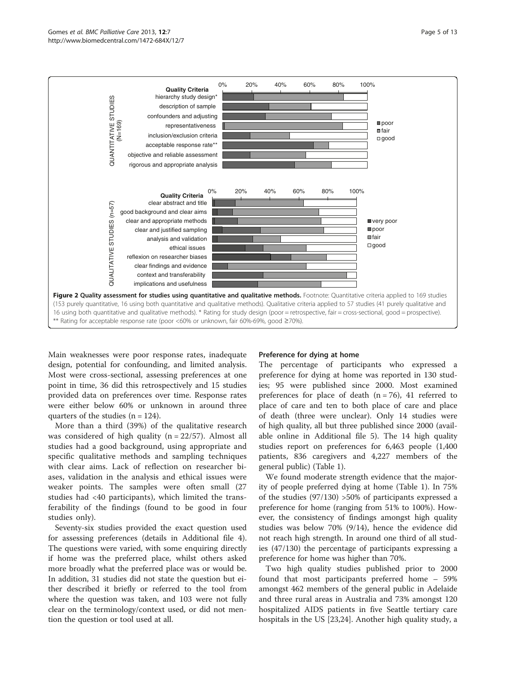<span id="page-4-0"></span>

Main weaknesses were poor response rates, inadequate design, potential for confounding, and limited analysis. Most were cross-sectional, assessing preferences at one point in time, 36 did this retrospectively and 15 studies provided data on preferences over time. Response rates were either below 60% or unknown in around three quarters of the studies  $(n = 124)$ .

More than a third (39%) of the qualitative research was considered of high quality ( $n = 22/57$ ). Almost all studies had a good background, using appropriate and specific qualitative methods and sampling techniques with clear aims. Lack of reflection on researcher biases, validation in the analysis and ethical issues were weaker points. The samples were often small (27 studies had <40 participants), which limited the transferability of the findings (found to be good in four studies only).

Seventy-six studies provided the exact question used for assessing preferences (details in Additional file [4](#page-11-0)). The questions were varied, with some enquiring directly if home was the preferred place, whilst others asked more broadly what the preferred place was or would be. In addition, 31 studies did not state the question but either described it briefly or referred to the tool from where the question was taken, and 103 were not fully clear on the terminology/context used, or did not mention the question or tool used at all.

#### Preference for dying at home

The percentage of participants who expressed a preference for dying at home was reported in 130 studies; 95 were published since 2000. Most examined preferences for place of death  $(n = 76)$ , 41 referred to place of care and ten to both place of care and place of death (three were unclear). Only 14 studies were of high quality, all but three published since 2000 (available online in Additional file [5\)](#page-11-0). The 14 high quality studies report on preferences for 6,463 people (1,400 patients, 836 caregivers and 4,227 members of the general public) (Table [1\)](#page-5-0).

We found moderate strength evidence that the majority of people preferred dying at home (Table [1](#page-5-0)). In 75% of the studies (97/130) >50% of participants expressed a preference for home (ranging from 51% to 100%). However, the consistency of findings amongst high quality studies was below 70% (9/14), hence the evidence did not reach high strength. In around one third of all studies (47/130) the percentage of participants expressing a preference for home was higher than 70%.

Two high quality studies published prior to 2000 found that most participants preferred home – 59% amongst 462 members of the general public in Adelaide and three rural areas in Australia and 73% amongst 120 hospitalized AIDS patients in five Seattle tertiary care hospitals in the US [[23](#page-11-0),[24](#page-11-0)]. Another high quality study, a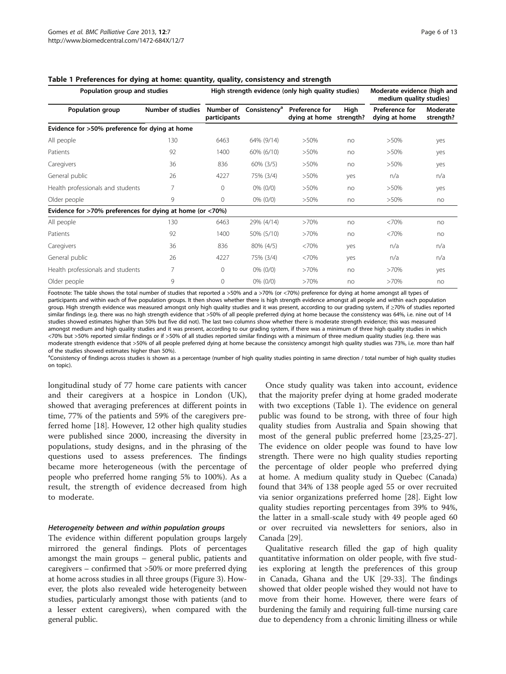| Population group and studies                              |                   | High strength evidence (only high quality studies) |                          |                                        |                   | Moderate evidence (high and<br>medium quality studies) |                       |
|-----------------------------------------------------------|-------------------|----------------------------------------------------|--------------------------|----------------------------------------|-------------------|--------------------------------------------------------|-----------------------|
| Population group                                          | Number of studies | Number of<br>participants                          | Consistency <sup>a</sup> | <b>Preference for</b><br>dying at home | High<br>strength? | <b>Preference for</b><br>dying at home                 | Moderate<br>strength? |
| Evidence for >50% preference for dying at home            |                   |                                                    |                          |                                        |                   |                                                        |                       |
| All people                                                | 130               | 6463                                               | 64% (9/14)               | $>50\%$                                | no                | $>50\%$                                                | yes                   |
| Patients                                                  | 92                | 1400                                               | 60% (6/10)               | $>50\%$                                | no                | $>50\%$                                                | yes                   |
| Caregivers                                                | 36                | 836                                                | 60% (3/5)                | $>50\%$                                | no                | $>50\%$                                                | yes                   |
| General public                                            | 26                | 4227                                               | 75% (3/4)                | $>50\%$                                | yes               | n/a                                                    | n/a                   |
| Health professionals and students                         |                   | $\mathbf{0}$                                       | $0\%$ (0/0)              | $>50\%$                                | no                | $>50\%$                                                | yes                   |
| Older people                                              | 9                 | 0                                                  | $0\%$ (0/0)              | $>50\%$                                | no                | $>50\%$                                                | no                    |
| Evidence for >70% preferences for dying at home (or <70%) |                   |                                                    |                          |                                        |                   |                                                        |                       |
| All people                                                | 130               | 6463                                               | 29% (4/14)               | >70%                                   | no                | $<70\%$                                                | no                    |
| Patients                                                  | 92                | 1400                                               | 50% (5/10)               | $>70\%$                                | no                | <70%                                                   | no                    |
| Caregivers                                                | 36                | 836                                                | 80% (4/5)                | $<70\%$                                | yes               | n/a                                                    | n/a                   |
| General public                                            | 26                | 4227                                               | 75% (3/4)                | <70%                                   | yes               | n/a                                                    | n/a                   |
| Health professionals and students                         |                   | 0                                                  | $0\%$ (0/0)              | $>70\%$                                | no                | $>70\%$                                                | yes                   |
| Older people                                              | 9                 | 0                                                  | $0\%$ (0/0)              | $>70\%$                                | no                | $>70\%$                                                | no                    |

#### <span id="page-5-0"></span>Table 1 Preferences for dying at home: quantity, quality, consistency and strength

Footnote: The table shows the total number of studies that reported a >50% and a >70% (or <70%) preference for dying at home amongst all types of participants and within each of five population groups. It then shows whether there is high strength evidence amongst all people and within each population group. High strength evidence was measured amongst only high quality studies and it was present, according to our grading system, if ≥70% of studies reported similar findings (e.g. there was no high strength evidence that >50% of all people preferred dying at home because the consistency was 64%, i.e. nine out of 14 studies showed estimates higher than 50% but five did not). The last two columns show whether there is moderate strength evidence; this was measured amongst medium and high quality studies and it was present, according to our grading system, if there was a minimum of three high quality studies in which <70% but >50% reported similar findings or if >50% of all studies reported similar findings with a minimum of three medium quality studies (e.g. there was moderate strength evidence that >50% of all people preferred dying at home because the consistency amongst high quality studies was 73%, i.e. more than half of the studies showed estimates higher than 50%).

<sup>a</sup>Consistency of findings across studies is shown as a percentage (number of high quality studies pointing in same direction / total number of high quality studies on topic).

longitudinal study of 77 home care patients with cancer and their caregivers at a hospice in London (UK), showed that averaging preferences at different points in time, 77% of the patients and 59% of the caregivers preferred home [\[18](#page-11-0)]. However, 12 other high quality studies were published since 2000, increasing the diversity in populations, study designs, and in the phrasing of the questions used to assess preferences. The findings became more heterogeneous (with the percentage of people who preferred home ranging 5% to 100%). As a result, the strength of evidence decreased from high to moderate.

#### Heterogeneity between and within population groups

The evidence within different population groups largely mirrored the general findings. Plots of percentages amongst the main groups – general public, patients and caregivers – confirmed that >50% or more preferred dying at home across studies in all three groups (Figure [3](#page-6-0)). However, the plots also revealed wide heterogeneity between studies, particularly amongst those with patients (and to a lesser extent caregivers), when compared with the general public.

Once study quality was taken into account, evidence that the majority prefer dying at home graded moderate with two exceptions (Table 1). The evidence on general public was found to be strong, with three of four high quality studies from Australia and Spain showing that most of the general public preferred home [\[23,25](#page-11-0)[-27](#page-12-0)]. The evidence on older people was found to have low strength. There were no high quality studies reporting the percentage of older people who preferred dying at home. A medium quality study in Quebec (Canada) found that 34% of 138 people aged 55 or over recruited via senior organizations preferred home [[28](#page-12-0)]. Eight low quality studies reporting percentages from 39% to 94%, the latter in a small-scale study with 49 people aged 60 or over recruited via newsletters for seniors, also in Canada [\[29](#page-12-0)].

Qualitative research filled the gap of high quality quantitative information on older people, with five studies exploring at length the preferences of this group in Canada, Ghana and the UK [\[29](#page-12-0)-[33](#page-12-0)]. The findings showed that older people wished they would not have to move from their home. However, there were fears of burdening the family and requiring full-time nursing care due to dependency from a chronic limiting illness or while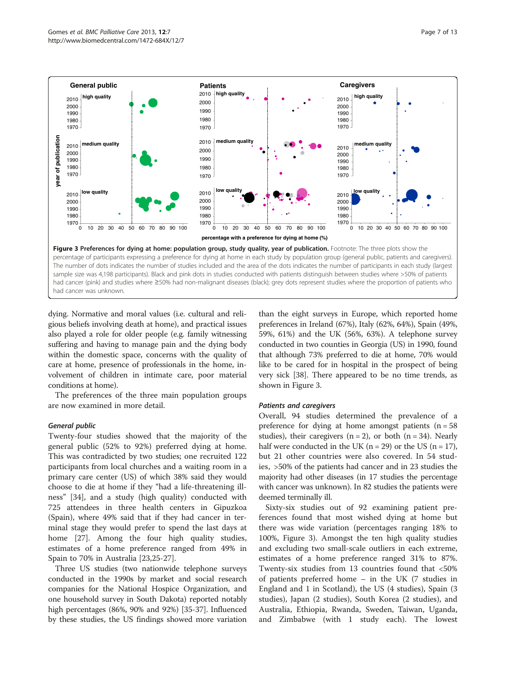<span id="page-6-0"></span>

dying. Normative and moral values (i.e. cultural and religious beliefs involving death at home), and practical issues also played a role for older people (e.g. family witnessing suffering and having to manage pain and the dying body within the domestic space, concerns with the quality of care at home, presence of professionals in the home, involvement of children in intimate care, poor material conditions at home).

The preferences of the three main population groups are now examined in more detail.

# General public

Twenty-four studies showed that the majority of the general public (52% to 92%) preferred dying at home. This was contradicted by two studies; one recruited 122 participants from local churches and a waiting room in a primary care center (US) of which 38% said they would choose to die at home if they "had a life-threatening illness" [[34\]](#page-12-0), and a study (high quality) conducted with 725 attendees in three health centers in Gipuzkoa (Spain), where 49% said that if they had cancer in terminal stage they would prefer to spend the last days at home [[27\]](#page-12-0). Among the four high quality studies, estimates of a home preference ranged from 49% in Spain to 70% in Australia [[23,25-](#page-11-0)[27](#page-12-0)].

Three US studies (two nationwide telephone surveys conducted in the 1990s by market and social research companies for the National Hospice Organization, and one household survey in South Dakota) reported notably high percentages (86%, 90% and 92%) [[35-37\]](#page-12-0). Influenced by these studies, the US findings showed more variation

than the eight surveys in Europe, which reported home preferences in Ireland (67%), Italy (62%, 64%), Spain (49%, 59%, 61%) and the UK (56%, 63%). A telephone survey conducted in two counties in Georgia (US) in 1990, found that although 73% preferred to die at home, 70% would like to be cared for in hospital in the prospect of being very sick [\[38\]](#page-12-0). There appeared to be no time trends, as shown in Figure 3.

#### Patients and caregivers

Overall, 94 studies determined the prevalence of a preference for dying at home amongst patients  $(n = 58)$ studies), their caregivers  $(n = 2)$ , or both  $(n = 34)$ . Nearly half were conducted in the UK ( $n = 29$ ) or the US ( $n = 17$ ), but 21 other countries were also covered. In 54 studies, >50% of the patients had cancer and in 23 studies the majority had other diseases (in 17 studies the percentage with cancer was unknown). In 82 studies the patients were deemed terminally ill.

Sixty-six studies out of 92 examining patient preferences found that most wished dying at home but there was wide variation (percentages ranging 18% to 100%, Figure 3). Amongst the ten high quality studies and excluding two small-scale outliers in each extreme, estimates of a home preference ranged 31% to 87%. Twenty-six studies from 13 countries found that <50% of patients preferred home – in the UK (7 studies in England and 1 in Scotland), the US (4 studies), Spain (3 studies), Japan (2 studies), South Korea (2 studies), and Australia, Ethiopia, Rwanda, Sweden, Taiwan, Uganda, and Zimbabwe (with 1 study each). The lowest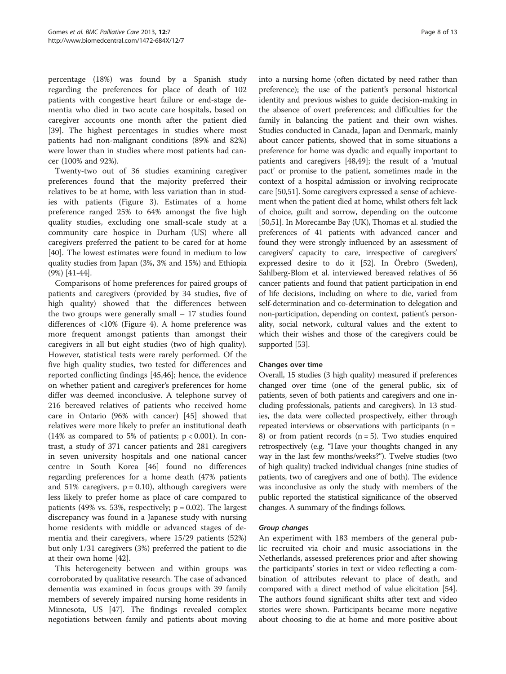percentage (18%) was found by a Spanish study regarding the preferences for place of death of 102 patients with congestive heart failure or end-stage dementia who died in two acute care hospitals, based on caregiver accounts one month after the patient died [[39\]](#page-12-0). The highest percentages in studies where most patients had non-malignant conditions (89% and 82%) were lower than in studies where most patients had cancer (100% and 92%).

Twenty-two out of 36 studies examining caregiver preferences found that the majority preferred their relatives to be at home, with less variation than in studies with patients (Figure [3](#page-6-0)). Estimates of a home preference ranged 25% to 64% amongst the five high quality studies, excluding one small-scale study at a community care hospice in Durham (US) where all caregivers preferred the patient to be cared for at home [[40\]](#page-12-0). The lowest estimates were found in medium to low quality studies from Japan (3%, 3% and 15%) and Ethiopia (9%) [\[41-44\]](#page-12-0).

Comparisons of home preferences for paired groups of patients and caregivers (provided by 34 studies, five of high quality) showed that the differences between the two groups were generally small – 17 studies found differences of <10% (Figure [4\)](#page-8-0). A home preference was more frequent amongst patients than amongst their caregivers in all but eight studies (two of high quality). However, statistical tests were rarely performed. Of the five high quality studies, two tested for differences and reported conflicting findings [[45,46\]](#page-12-0); hence, the evidence on whether patient and caregiver's preferences for home differ was deemed inconclusive. A telephone survey of 216 bereaved relatives of patients who received home care in Ontario (96% with cancer) [\[45\]](#page-12-0) showed that relatives were more likely to prefer an institutional death (14% as compared to 5% of patients;  $p < 0.001$ ). In contrast, a study of 371 cancer patients and 281 caregivers in seven university hospitals and one national cancer centre in South Korea [\[46](#page-12-0)] found no differences regarding preferences for a home death (47% patients and 51% caregivers,  $p = 0.10$ ), although caregivers were less likely to prefer home as place of care compared to patients (49% vs. 53%, respectively;  $p = 0.02$ ). The largest discrepancy was found in a Japanese study with nursing home residents with middle or advanced stages of dementia and their caregivers, where 15/29 patients (52%) but only 1/31 caregivers (3%) preferred the patient to die at their own home [[42\]](#page-12-0).

This heterogeneity between and within groups was corroborated by qualitative research. The case of advanced dementia was examined in focus groups with 39 family members of severely impaired nursing home residents in Minnesota, US [\[47](#page-12-0)]. The findings revealed complex negotiations between family and patients about moving

into a nursing home (often dictated by need rather than preference); the use of the patient's personal historical identity and previous wishes to guide decision-making in the absence of overt preferences; and difficulties for the family in balancing the patient and their own wishes. Studies conducted in Canada, Japan and Denmark, mainly about cancer patients, showed that in some situations a preference for home was dyadic and equally important to patients and caregivers [\[48,49](#page-12-0)]; the result of a 'mutual pact' or promise to the patient, sometimes made in the context of a hospital admission or involving reciprocate care [[50](#page-12-0),[51](#page-12-0)]. Some caregivers expressed a sense of achievement when the patient died at home, whilst others felt lack of choice, guilt and sorrow, depending on the outcome [[50,51\]](#page-12-0). In Morecambe Bay (UK), Thomas et al. studied the preferences of 41 patients with advanced cancer and found they were strongly influenced by an assessment of caregivers' capacity to care, irrespective of caregivers' expressed desire to do it [\[52\]](#page-12-0). In Örebro (Sweden), Sahlberg-Blom et al. interviewed bereaved relatives of 56 cancer patients and found that patient participation in end of life decisions, including on where to die, varied from self-determination and co-determination to delegation and non-participation, depending on context, patient's personality, social network, cultural values and the extent to which their wishes and those of the caregivers could be supported [\[53\]](#page-12-0).

#### Changes over time

Overall, 15 studies (3 high quality) measured if preferences changed over time (one of the general public, six of patients, seven of both patients and caregivers and one including professionals, patients and caregivers). In 13 studies, the data were collected prospectively, either through repeated interviews or observations with participants  $(n =$ 8) or from patient records  $(n = 5)$ . Two studies enquired retrospectively (e.g. "Have your thoughts changed in any way in the last few months/weeks?"). Twelve studies (two of high quality) tracked individual changes (nine studies of patients, two of caregivers and one of both). The evidence was inconclusive as only the study with members of the public reported the statistical significance of the observed changes. A summary of the findings follows.

#### Group changes

An experiment with 183 members of the general public recruited via choir and music associations in the Netherlands, assessed preferences prior and after showing the participants' stories in text or video reflecting a combination of attributes relevant to place of death, and compared with a direct method of value elicitation [[54](#page-12-0)]. The authors found significant shifts after text and video stories were shown. Participants became more negative about choosing to die at home and more positive about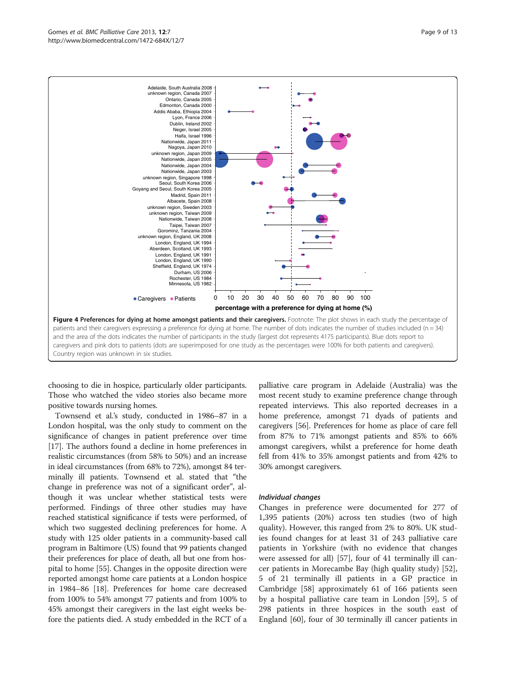<span id="page-8-0"></span>

choosing to die in hospice, particularly older participants. Those who watched the video stories also became more positive towards nursing homes.

Townsend et al.'s study, conducted in 1986–87 in a London hospital, was the only study to comment on the significance of changes in patient preference over time [[17](#page-11-0)]. The authors found a decline in home preferences in realistic circumstances (from 58% to 50%) and an increase in ideal circumstances (from 68% to 72%), amongst 84 terminally ill patients. Townsend et al. stated that "the change in preference was not of a significant order", although it was unclear whether statistical tests were performed. Findings of three other studies may have reached statistical significance if tests were performed, of which two suggested declining preferences for home. A study with 125 older patients in a community-based call program in Baltimore (US) found that 99 patients changed their preferences for place of death, all but one from hospital to home [\[55\]](#page-12-0). Changes in the opposite direction were reported amongst home care patients at a London hospice in 1984–86 [\[18\]](#page-11-0). Preferences for home care decreased from 100% to 54% amongst 77 patients and from 100% to 45% amongst their caregivers in the last eight weeks before the patients died. A study embedded in the RCT of a

palliative care program in Adelaide (Australia) was the most recent study to examine preference change through repeated interviews. This also reported decreases in a home preference, amongst 71 dyads of patients and caregivers [[56\]](#page-12-0). Preferences for home as place of care fell from 87% to 71% amongst patients and 85% to 66% amongst caregivers, whilst a preference for home death fell from 41% to 35% amongst patients and from 42% to 30% amongst caregivers.

#### Individual changes

Changes in preference were documented for 277 of 1,395 patients (20%) across ten studies (two of high quality). However, this ranged from 2% to 80%. UK studies found changes for at least 31 of 243 palliative care patients in Yorkshire (with no evidence that changes were assessed for all) [[57\]](#page-12-0), four of 41 terminally ill cancer patients in Morecambe Bay (high quality study) [\[52](#page-12-0)], 5 of 21 terminally ill patients in a GP practice in Cambridge [\[58](#page-12-0)] approximately 61 of 166 patients seen by a hospital palliative care team in London [[59\]](#page-12-0), 5 of 298 patients in three hospices in the south east of England [[60](#page-12-0)], four of 30 terminally ill cancer patients in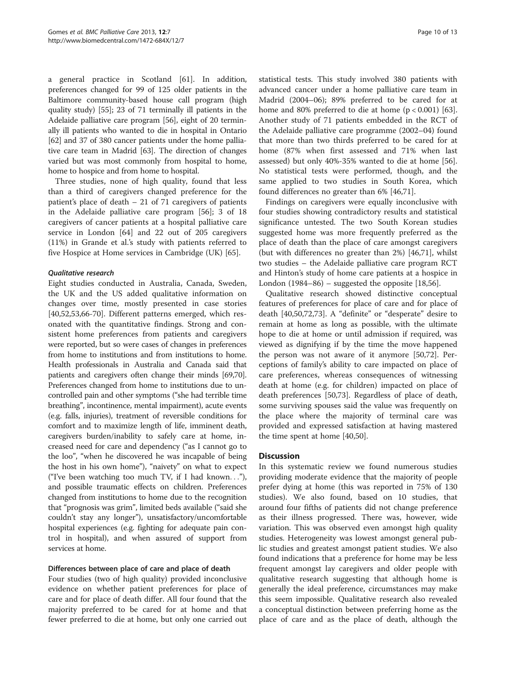a general practice in Scotland [\[61\]](#page-12-0). In addition, preferences changed for 99 of 125 older patients in the Baltimore community-based house call program (high quality study) [[55](#page-12-0)]; 23 of 71 terminally ill patients in the Adelaide palliative care program [[56](#page-12-0)], eight of 20 terminally ill patients who wanted to die in hospital in Ontario [[62](#page-12-0)] and 37 of 380 cancer patients under the home palliative care team in Madrid [\[63\]](#page-12-0). The direction of changes varied but was most commonly from hospital to home, home to hospice and from home to hospital.

Three studies, none of high quality, found that less than a third of caregivers changed preference for the patient's place of death – 21 of 71 caregivers of patients in the Adelaide palliative care program [[56\]](#page-12-0); 3 of 18 caregivers of cancer patients at a hospital palliative care service in London [[64\]](#page-12-0) and 22 out of 205 caregivers (11%) in Grande et al.'s study with patients referred to five Hospice at Home services in Cambridge (UK) [\[65](#page-12-0)].

#### Qualitative research

Eight studies conducted in Australia, Canada, Sweden, the UK and the US added qualitative information on changes over time, mostly presented in case stories [[40,52,53,66-70\]](#page-12-0). Different patterns emerged, which resonated with the quantitative findings. Strong and consistent home preferences from patients and caregivers were reported, but so were cases of changes in preferences from home to institutions and from institutions to home. Health professionals in Australia and Canada said that patients and caregivers often change their minds [\[69,70](#page-12-0)]. Preferences changed from home to institutions due to uncontrolled pain and other symptoms ("she had terrible time breathing", incontinence, mental impairment), acute events (e.g. falls, injuries), treatment of reversible conditions for comfort and to maximize length of life, imminent death, caregivers burden/inability to safely care at home, increased need for care and dependency ("as I cannot go to the loo", "when he discovered he was incapable of being the host in his own home"), "naivety" on what to expect ("I've been watching too much TV, if I had known..."), and possible traumatic effects on children. Preferences changed from institutions to home due to the recognition that "prognosis was grim", limited beds available ("said she couldn't stay any longer"), unsatisfactory/uncomfortable hospital experiences (e.g. fighting for adequate pain control in hospital), and when assured of support from services at home.

#### Differences between place of care and place of death

Four studies (two of high quality) provided inconclusive evidence on whether patient preferences for place of care and for place of death differ. All four found that the majority preferred to be cared for at home and that fewer preferred to die at home, but only one carried out

statistical tests. This study involved 380 patients with advanced cancer under a home palliative care team in Madrid (2004–06); 89% preferred to be cared for at home and 80% preferred to die at home  $(p < 0.001)$  [\[63](#page-12-0)]. Another study of 71 patients embedded in the RCT of the Adelaide palliative care programme (2002–04) found that more than two thirds preferred to be cared for at home (87% when first assessed and 71% when last assessed) but only 40%-35% wanted to die at home [\[56](#page-12-0)]. No statistical tests were performed, though, and the same applied to two studies in South Korea, which found differences no greater than 6% [\[46,71](#page-12-0)].

Findings on caregivers were equally inconclusive with four studies showing contradictory results and statistical significance untested. The two South Korean studies suggested home was more frequently preferred as the place of death than the place of care amongst caregivers (but with differences no greater than 2%) [[46,71](#page-12-0)], whilst two studies – the Adelaide palliative care program RCT and Hinton's study of home care patients at a hospice in London  $(1984–86)$  – suggested the opposite [[18,](#page-11-0)[56\]](#page-12-0).

Qualitative research showed distinctive conceptual features of preferences for place of care and for place of death [\[40,50,72,73\]](#page-12-0). A "definite" or "desperate" desire to remain at home as long as possible, with the ultimate hope to die at home or until admission if required, was viewed as dignifying if by the time the move happened the person was not aware of it anymore [[50](#page-12-0),[72](#page-12-0)]. Perceptions of family's ability to care impacted on place of care preferences, whereas consequences of witnessing death at home (e.g. for children) impacted on place of death preferences [[50](#page-12-0),[73](#page-12-0)]. Regardless of place of death, some surviving spouses said the value was frequently on the place where the majority of terminal care was provided and expressed satisfaction at having mastered the time spent at home [\[40,50](#page-12-0)].

# **Discussion**

In this systematic review we found numerous studies providing moderate evidence that the majority of people prefer dying at home (this was reported in 75% of 130 studies). We also found, based on 10 studies, that around four fifths of patients did not change preference as their illness progressed. There was, however, wide variation. This was observed even amongst high quality studies. Heterogeneity was lowest amongst general public studies and greatest amongst patient studies. We also found indications that a preference for home may be less frequent amongst lay caregivers and older people with qualitative research suggesting that although home is generally the ideal preference, circumstances may make this seem impossible. Qualitative research also revealed a conceptual distinction between preferring home as the place of care and as the place of death, although the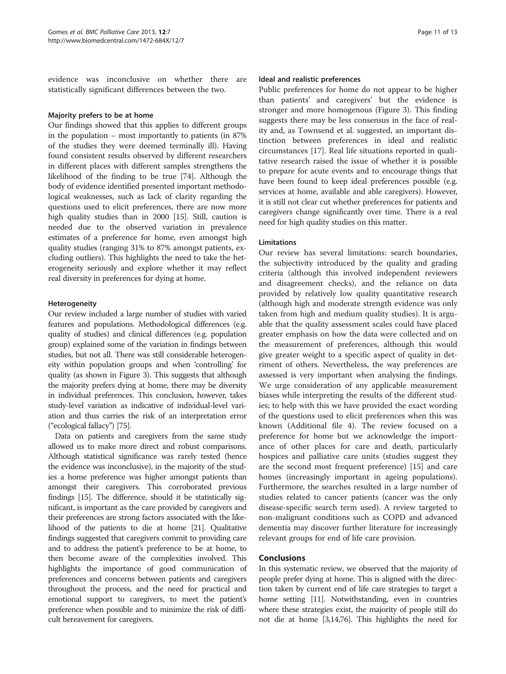evidence was inconclusive on whether there are statistically significant differences between the two.

#### Majority prefers to be at home

Our findings showed that this applies to different groups in the population – most importantly to patients (in 87% of the studies they were deemed terminally ill). Having found consistent results observed by different researchers in different places with different samples strengthens the likelihood of the finding to be true [[74](#page-12-0)]. Although the body of evidence identified presented important methodological weaknesses, such as lack of clarity regarding the questions used to elicit preferences, there are now more high quality studies than in 2000 [\[15\]](#page-11-0). Still, caution is needed due to the observed variation in prevalence estimates of a preference for home, even amongst high quality studies (ranging 31% to 87% amongst patients, excluding outliers). This highlights the need to take the heterogeneity seriously and explore whether it may reflect real diversity in preferences for dying at home.

#### Heterogeneity

Our review included a large number of studies with varied features and populations. Methodological differences (e.g. quality of studies) and clinical differences (e.g. population group) explained some of the variation in findings between studies, but not all. There was still considerable heterogeneity within population groups and when 'controlling' for quality (as shown in Figure [3\)](#page-6-0). This suggests that although the majority prefers dying at home, there may be diversity in individual preferences. This conclusion, however, takes study-level variation as indicative of individual-level variation and thus carries the risk of an interpretation error ("ecological fallacy") [\[75\]](#page-12-0).

Data on patients and caregivers from the same study allowed us to make more direct and robust comparisons. Although statistical significance was rarely tested (hence the evidence was inconclusive), in the majority of the studies a home preference was higher amongst patients than amongst their caregivers. This corroborated previous findings [[15](#page-11-0)]. The difference, should it be statistically significant, is important as the care provided by caregivers and their preferences are strong factors associated with the likelihood of the patients to die at home [\[21](#page-11-0)]. Qualitative findings suggested that caregivers commit to providing care and to address the patient's preference to be at home, to then become aware of the complexities involved. This highlights the importance of good communication of preferences and concerns between patients and caregivers throughout the process, and the need for practical and emotional support to caregivers, to meet the patient's preference when possible and to minimize the risk of difficult bereavement for caregivers.

#### Ideal and realistic preferences

Public preferences for home do not appear to be higher than patients' and caregivers' but the evidence is stronger and more homogenous (Figure [3](#page-6-0)). This finding suggests there may be less consensus in the face of reality and, as Townsend et al. suggested, an important distinction between preferences in ideal and realistic circumstances [[17\]](#page-11-0). Real life situations reported in qualitative research raised the issue of whether it is possible to prepare for acute events and to encourage things that have been found to keep ideal preferences possible (e.g. services at home, available and able caregivers). However, it is still not clear cut whether preferences for patients and caregivers change significantly over time. There is a real need for high quality studies on this matter.

#### Limitations

Our review has several limitations: search boundaries, the subjectivity introduced by the quality and grading criteria (although this involved independent reviewers and disagreement checks), and the reliance on data provided by relatively low quality quantitative research (although high and moderate strength evidence was only taken from high and medium quality studies). It is arguable that the quality assessment scales could have placed greater emphasis on how the data were collected and on the measurement of preferences, although this would give greater weight to a specific aspect of quality in detriment of others. Nevertheless, the way preferences are assessed is very important when analysing the findings. We urge consideration of any applicable measurement biases while interpreting the results of the different studies; to help with this we have provided the exact wording of the questions used to elicit preferences when this was known (Additional file [4](#page-11-0)). The review focused on a preference for home but we acknowledge the importance of other places for care and death, particularly hospices and palliative care units (studies suggest they are the second most frequent preference) [[15\]](#page-11-0) and care homes (increasingly important in ageing populations). Furthermore, the searches resulted in a large number of studies related to cancer patients (cancer was the only disease-specific search term used). A review targeted to non-malignant conditions such as COPD and advanced dementia may discover further literature for increasingly relevant groups for end of life care provision.

### Conclusions

In this systematic review, we observed that the majority of people prefer dying at home. This is aligned with the direction taken by current end of life care strategies to target a home setting [[11](#page-11-0)]. Notwithstanding, even in countries where these strategies exist, the majority of people still do not die at home [[3,14,](#page-11-0)[76](#page-12-0)]. This highlights the need for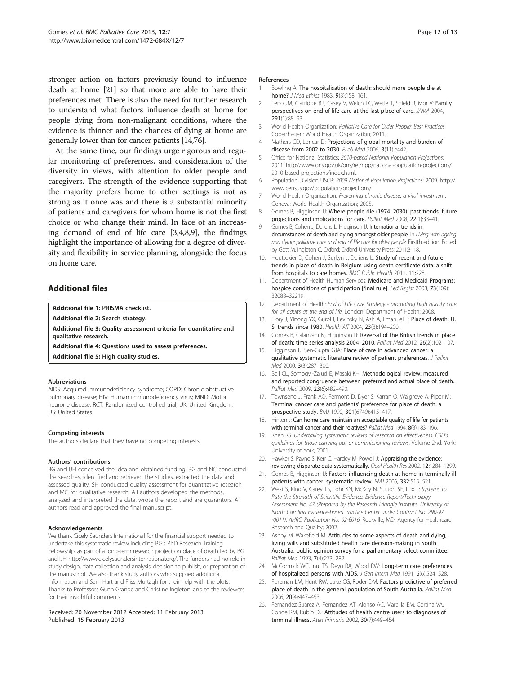<span id="page-11-0"></span>stronger action on factors previously found to influence death at home [21] so that more are able to have their preferences met. There is also the need for further research to understand what factors influence death at home for people dying from non-malignant conditions, where the evidence is thinner and the chances of dying at home are generally lower than for cancer patients [14[,76\]](#page-12-0).

At the same time, our findings urge rigorous and regular monitoring of preferences, and consideration of the diversity in views, with attention to older people and caregivers. The strength of the evidence supporting that the majority prefers home to other settings is not as strong as it once was and there is a substantial minority of patients and caregivers for whom home is not the first choice or who change their mind. In face of an increasing demand of end of life care [3,4,8,9], the findings highlight the importance of allowing for a degree of diversity and flexibility in service planning, alongside the focus on home care.

# Additional files

[Additional file 1:](http://www.biomedcentral.com/content/supplementary/1472-684X-12-7-S1.doc) PRISMA checklist.

[Additional file 2:](http://www.biomedcentral.com/content/supplementary/1472-684X-12-7-S2.doc) Search strategy.

[Additional file 3:](http://www.biomedcentral.com/content/supplementary/1472-684X-12-7-S3.doc) Quality assessment criteria for quantitative and qualitative research.

[Additional file 4:](http://www.biomedcentral.com/content/supplementary/1472-684X-12-7-S4.doc) Questions used to assess preferences.

[Additional file 5:](http://www.biomedcentral.com/content/supplementary/1472-684X-12-7-S5.doc) High quality studies.

#### Abbreviations

AIDS: Acquired immunodeficiency syndrome; COPD: Chronic obstructive pulmonary disease; HIV: Human immunodeficiency virus; MND: Motor neurone disease; RCT: Randomized controlled trial; UK: United Kingdom; US: United States.

#### Competing interests

The authors declare that they have no competing interests.

#### Authors' contributions

BG and IJH conceived the idea and obtained funding; BG and NC conducted the searches, identified and retrieved the studies, extracted the data and assessed quality. SH conducted quality assessment for quantitative research and MG for qualitative research. All authors developed the methods, analyzed and interpreted the data, wrote the report and are guarantors. All authors read and approved the final manuscript.

#### Acknowledgements

We thank Cicely Saunders International for the financial support needed to undertake this systematic review including BG's PhD Research Training Fellowship, as part of a long-term research project on place of death led by BG and IJH [http://www.cicelysaundersinternational.org/.](http://www.cicelysaundersinternational.org/) The funders had no role in study design, data collection and analysis, decision to publish, or preparation of the manuscript. We also thank study authors who supplied additional information and Sam Hart and Fliss Murtagh for their help with the plots. Thanks to Professors Gunn Grande and Christine Ingleton, and to the reviewers for their insightful comments.

#### Received: 20 November 2012 Accepted: 11 February 2013 Published: 15 February 2013

#### References

- 1. Bowling A: The hospitalisation of death: should more people die at home? *J Med Ethics* 1983, 9(3):158-161.
- Teno JM, Clarridge BR, Casey V, Welch LC, Wetle T, Shield R, Mor V: Family perspectives on end-of-life care at the last place of care. JAMA 2004, 291(1):88–93.
- 3. World Health Organization: Palliative Care for Older People: Best Practices. Copenhagen: World Health Organization; 2011.
- 4. Mathers CD, Loncar D: Projections of global mortality and burden of disease from 2002 to 2030. PLoS Med 2006, 3(11):e442.
- 5. Office for National Statistics: 2010-based National Population Projections; 2011. [http://www.ons.gov.uk/ons/rel/npp/national-population-projections/](http://www.ons.gov.uk/ons/rel/npp/national-population-projections/2010-based-projections/index.html) [2010-based-projections/index.html](http://www.ons.gov.uk/ons/rel/npp/national-population-projections/2010-based-projections/index.html).
- 6. Population Division USCB: 2009 National Population Projections; 2009. [http://](http://www.census.gov/population/projections/) [www.census.gov/population/projections/](http://www.census.gov/population/projections/).
- 7. World Health Organization: Preventing chronic disease: a vital investment. Geneva: World Health Organization; 2005.
- 8. Gomes B, Higginson IJ: Where people die (1974–2030): past trends, future projections and implications for care. Palliat Med 2008, 22(1):33–41.
- 9. Gomes B, Cohen J, Deliens L, Higginson IJ: International trends in circumstances of death and dying amongst older people. In Living with ageing and dying: palliative care and end of life care for older people. Firstth edition. Edited by Gott M, Ingleton C. Oxford: Oxford University Press; 2011:3–18.
- 10. Houttekier D, Cohen J, Surkyn J, Deliens L: Study of recent and future trends in place of death in Belgium using death certificate data: a shift from hospitals to care homes. BMC Public Health 2011, 11:228
- 11. Department of Health Human Services: Medicare and Medicaid Programs: hospice conditions of participation [final rule]. Fed Regist 2008, 73(109): 32088–32219.
- 12. Department of Health: End of Life Care Strategy promoting high quality care for all adults at the end of life. London: Department of Health; 2008.
- 13. Flory J, Yinong YX, Gurol I, Levinsky N, Ash A, Emanuel E: Place of death: U. S. trends since 1980. Health Aff 2004, 23(3):194–200.
- 14. Gomes B, Calanzani N, Higginson IJ: Reversal of the British trends in place of death: time series analysis 2004–2010. Palliat Med 2012, 26(2):102–107.
- 15. Higginson IJ, Sen-Gupta GJA: Place of care in advanced cancer: a qualitative systematic literature review of patient preferences. J Palliat Med 2000, 3(3):287–300.
- 16. Bell CL, Somogyi-Zalud E, Masaki KH: Methodological review: measured and reported congruence between preferred and actual place of death. Palliat Med 2009, 23(6):482–490.
- 17. Townsend J, Frank AO, Fermont D, Dyer S, Karran O, Walgrove A, Piper M: Terminal cancer care and patients' preference for place of death: a prospective study. BMJ 1990, 301(6749):415–417.
- 18. Hinton J: Can home care maintain an acceptable quality of life for patients with terminal cancer and their relatives? Palliat Med 1994, 8(3):183-196.
- 19. Khan KS: Undertaking systematic reviews of research on effectiveness: CRD's guidelines for those carrying out or commissioning reviews, Volume 2nd. York: University of York; 2001.
- 20. Hawker S, Payne S, Kerr C, Hardey M, Powell J: Appraising the evidence: reviewing disparate data systematically. Qual Health Res 2002, 12:1284–1299.
- 21. Gomes B, Higginson IJ: Factors influencing death at home in terminally ill patients with cancer: systematic review. BMJ 2006, 332:515–521.
- 22. West S, King V, Carey TS, Lohr KN, McKoy N, Sutton SF, Lux L: Systems to Rate the Strength of Scientific Evidence. Evidence Report/Technology Assessment No. 47 (Prepared by the Research Triangle Institute–University of North Carolina Evidence-based Practice Center under Contract No. 290-97 -0011). AHRQ Publication No. 02-E016. Rockville, MD: Agency for Healthcare Research and Quality; 2002.
- 23. Ashby M, Wakefield M: Attitudes to some aspects of death and dying, living wills and substituted health care decision-making in South Australia: public opinion survey for a parliamentary select committee. Palliat Med 1993, 7(4):273–282.
- 24. McCormick WC, Inui TS, Deyo RA, Wood RW: Long-term care preferences of hospitalized persons with AIDS. J Gen Intern Med 1991, 6(6):524–528.
- 25. Foreman LM, Hunt RW, Luke CG, Roder DM: Factors predictive of preferred place of death in the general population of South Australia. Palliat Med 2006, 20(4):447–453.
- 26. Fernández Suárez A, Fernandez AT, Alonso AC, Marcilla EM, Cortina VA, Conde RM, Rubio DJ: Attitudes of health centre users to diagnoses of terminal illness. Aten Primaria 2002, 30(7):449–454.